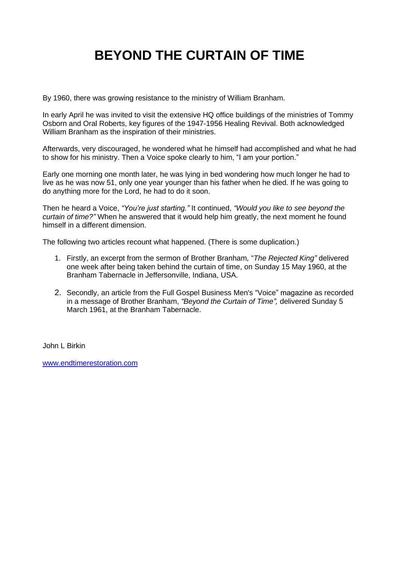# **BEYOND THE CURTAIN OF TIME**

By 1960, there was growing resistance to the ministry of William Branham.

In early April he was invited to visit the extensive HQ office buildings of the ministries of Tommy Osborn and Oral Roberts, key figures of the 1947-1956 Healing Revival. Both acknowledged William Branham as the inspiration of their ministries.

Afterwards, very discouraged, he wondered what he himself had accomplished and what he had to show for his ministry. Then a Voice spoke clearly to him, "I am your portion."

Early one morning one month later, he was lying in bed wondering how much longer he had to live as he was now 51, only one year younger than his father when he died. If he was going to do anything more for the Lord, he had to do it soon.

Then he heard a Voice, *"You're just starting."* It continued, *"Would you like to see beyond the curtain of time?"* When he answered that it would help him greatly, the next moment he found himself in a different dimension.

The following two articles recount what happened. (There is some duplication.)

- 1. Firstly, an excerpt from the sermon of Brother Branham*,* "*The Rejected King"* delivered one week after being taken behind the curtain of time, on Sunday 15 May 1960, at the Branham Tabernacle in Jeffersonville, Indiana, USA.
- 2. Secondly, an article from the Full Gospel Business Men's "Voice" magazine as recorded in a message of Brother Branham, *"Beyond the Curtain of Time",* delivered Sunday 5 March 1961, at the Branham Tabernacle.

John L Birkin

[www.endtimerestoration.com](http://www.endtimerestoration.com/)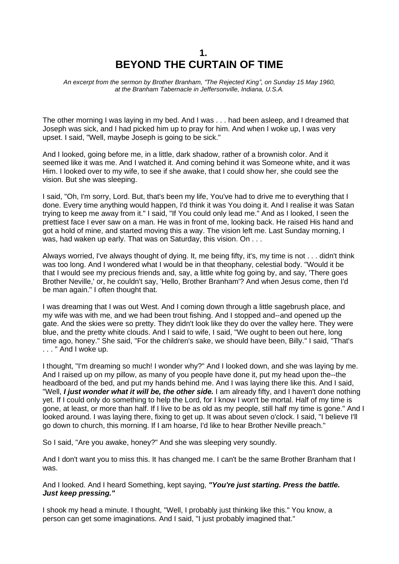## **1. BEYOND THE CURTAIN OF TIME**

*An excerpt from the sermon by Brother Branham, "The Rejected King", on Sunday 15 May 1960, at the Branham Tabernacle in Jeffersonville, Indiana, U.S.A.* 

The other morning I was laying in my bed. And I was . . . had been asleep, and I dreamed that Joseph was sick, and I had picked him up to pray for him. And when I woke up, I was very upset. I said, "Well, maybe Joseph is going to be sick."

And I looked, going before me, in a little, dark shadow, rather of a brownish color. And it seemed like it was me. And I watched it. And coming behind it was Someone white, and it was Him. I looked over to my wife, to see if she awake, that I could show her, she could see the vision. But she was sleeping.

I said, "Oh, I'm sorry, Lord. But, that's been my life, You've had to drive me to everything that I done. Every time anything would happen, I'd think it was You doing it. And I realise it was Satan trying to keep me away from it." I said, "If You could only lead me." And as I looked, I seen the prettiest face I ever saw on a man. He was in front of me, looking back. He raised His hand and got a hold of mine, and started moving this a way. The vision left me. Last Sunday morning, I was, had waken up early. That was on Saturday, this vision, On ...

Always worried, I've always thought of dying. It, me being fifty, it's, my time is not . . . didn't think was too long. And I wondered what I would be in that theophany, celestial body. "Would it be that I would see my precious friends and, say, a little white fog going by, and say, 'There goes Brother Neville,' or, he couldn't say, 'Hello, Brother Branham'? And when Jesus come, then I'd be man again." I often thought that.

I was dreaming that I was out West. And I coming down through a little sagebrush place, and my wife was with me, and we had been trout fishing. And I stopped and--and opened up the gate. And the skies were so pretty. They didn't look like they do over the valley here. They were blue, and the pretty white clouds. And I said to wife, I said, "We ought to been out here, long time ago, honey." She said, "For the children's sake, we should have been, Billy." I said, "That's . . . " And I woke up.

I thought, "I'm dreaming so much! I wonder why?" And I looked down, and she was laying by me. And I raised up on my pillow, as many of you people have done it, put my head upon the--the headboard of the bed, and put my hands behind me. And I was laying there like this. And I said, "Well, *I just wonder what it will be, the other side.* I am already fifty, and I haven't done nothing yet. If I could only do something to help the Lord, for I know I won't be mortal. Half of my time is gone, at least, or more than half. If I live to be as old as my people, still half my time is gone." And I looked around. I was laying there, fixing to get up. It was about seven o'clock. I said, "I believe I'll go down to church, this morning. If I am hoarse, I'd like to hear Brother Neville preach."

So I said, "Are you awake, honey?" And she was sleeping very soundly.

And I don't want you to miss this. It has changed me. I can't be the same Brother Branham that I was.

And I looked. And I heard Something, kept saying, *"You're just starting. Press the battle. Just keep pressing."* 

I shook my head a minute. I thought, "Well, I probably just thinking like this." You know, a person can get some imaginations. And I said, "I just probably imagined that."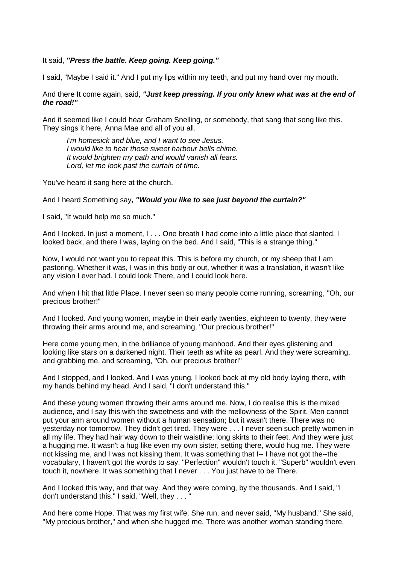It said, *"Press the battle. Keep going. Keep going."* 

I said, "Maybe I said it." And I put my lips within my teeth, and put my hand over my mouth.

#### And there It come again, said, *"Just keep pressing. If you only knew what was at the end of the road!"*

And it seemed like I could hear Graham Snelling, or somebody, that sang that song like this. They sings it here, Anna Mae and all of you all.

*I'm homesick and blue, and I want to see Jesus. I would like to hear those sweet harbour bells chime. It would brighten my path and would vanish all fears. Lord, let me look past the curtain of time.*

You've heard it sang here at the church.

#### And I heard Something say*, "Would you like to see just beyond the curtain?"*

I said, "It would help me so much."

And I looked. In just a moment, I, . . One breath I had come into a little place that slanted. I looked back, and there I was, laying on the bed. And I said, "This is a strange thing."

Now, I would not want you to repeat this. This is before my church, or my sheep that I am pastoring. Whether it was, I was in this body or out, whether it was a translation, it wasn't like any vision I ever had. I could look There, and I could look here.

And when I hit that little Place, I never seen so many people come running, screaming, "Oh, our precious brother!"

And I looked. And young women, maybe in their early twenties, eighteen to twenty, they were throwing their arms around me, and screaming, "Our precious brother!"

Here come young men, in the brilliance of young manhood. And their eyes glistening and looking like stars on a darkened night. Their teeth as white as pearl. And they were screaming, and grabbing me, and screaming, "Oh, our precious brother!"

And I stopped, and I looked. And I was young. I looked back at my old body laying there, with my hands behind my head. And I said, "I don't understand this."

And these young women throwing their arms around me. Now, I do realise this is the mixed audience, and I say this with the sweetness and with the mellowness of the Spirit. Men cannot put your arm around women without a human sensation; but it wasn't there. There was no yesterday nor tomorrow. They didn't get tired. They were . . . I never seen such pretty women in all my life. They had hair way down to their waistline; long skirts to their feet. And they were just a hugging me. It wasn't a hug like even my own sister, setting there, would hug me. They were not kissing me, and I was not kissing them. It was something that I-- I have not got the--the vocabulary, I haven't got the words to say. "Perfection" wouldn't touch it. "Superb" wouldn't even touch it, nowhere. It was something that I never . . . You just have to be There.

And I looked this way, and that way. And they were coming, by the thousands. And I said, "I don't understand this." I said, "Well, they . . . "

And here come Hope. That was my first wife. She run, and never said, "My husband." She said, "My precious brother," and when she hugged me. There was another woman standing there,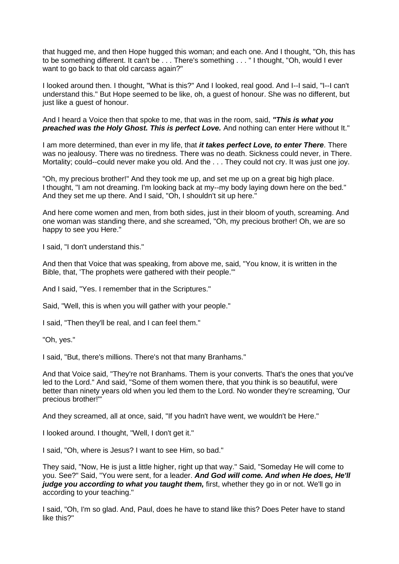that hugged me, and then Hope hugged this woman; and each one. And I thought, "Oh, this has to be something different. It can't be . . . There's something . . . " I thought, "Oh, would I ever want to go back to that old carcass again?"

I looked around then. I thought, "What is this?" And I looked, real good. And I--I said, "I--I can't understand this." But Hope seemed to be like, oh, a guest of honour. She was no different, but just like a guest of honour.

And I heard a Voice then that spoke to me, that was in the room, said, *"This is what you preached was the Holy Ghost. This is perfect Love.* And nothing can enter Here without It."

I am more determined, than ever in my life, that *it takes perfect Love, to enter There*. There was no jealousy. There was no tiredness. There was no death. Sickness could never, in There. Mortality; could--could never make you old. And the . . . They could not cry. It was just one joy.

"Oh, my precious brother!" And they took me up, and set me up on a great big high place. I thought, "I am not dreaming. I'm looking back at my--my body laying down here on the bed." And they set me up there. And I said, "Oh, I shouldn't sit up here."

And here come women and men, from both sides, just in their bloom of youth, screaming. And one woman was standing there, and she screamed, "Oh, my precious brother! Oh, we are so happy to see you Here."

I said, "I don't understand this."

And then that Voice that was speaking, from above me, said, "You know, it is written in the Bible, that, 'The prophets were gathered with their people.'"

And I said, "Yes. I remember that in the Scriptures."

Said, "Well, this is when you will gather with your people."

I said, "Then they'll be real, and I can feel them."

"Oh, yes."

I said, "But, there's millions. There's not that many Branhams."

And that Voice said, "They're not Branhams. Them is your converts. That's the ones that you've led to the Lord." And said, "Some of them women there, that you think is so beautiful, were better than ninety years old when you led them to the Lord. No wonder they're screaming, 'Our precious brother!'"

And they screamed, all at once, said, "If you hadn't have went, we wouldn't be Here."

I looked around. I thought, "Well, I don't get it."

I said, "Oh, where is Jesus? I want to see Him, so bad."

They said, "Now, He is just a little higher, right up that way." Said, "Someday He will come to you. See?" Said, "You were sent, for a leader. *And God will come. And when He does, He'll judge you according to what you taught them, first, whether they go in or not. We'll go in* according to your teaching."

I said, "Oh, I'm so glad. And, Paul, does he have to stand like this? Does Peter have to stand like this?"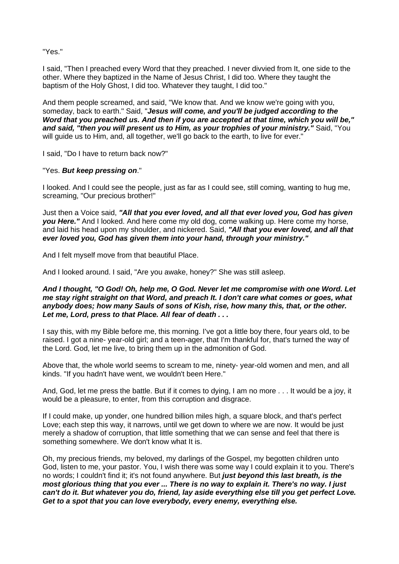"Yes."

I said, "Then I preached every Word that they preached. I never divvied from It, one side to the other. Where they baptized in the Name of Jesus Christ, I did too. Where they taught the baptism of the Holy Ghost, I did too. Whatever they taught, I did too."

And them people screamed, and said, "We know that. And we know we're going with you, someday, back to earth." Said, "*Jesus will come, and you'll be judged according to the Word that you preached us. And then if you are accepted at that time, which you will be," and said, "then you will present us to Him, as your trophies of your ministry."* Said, "You will guide us to Him, and, all together, we'll go back to the earth, to live for ever."

I said, "Do I have to return back now?"

#### "Yes. *But keep pressing on*."

I looked. And I could see the people, just as far as I could see, still coming, wanting to hug me, screaming, "Our precious brother!"

Just then a Voice said, *"All that you ever loved, and all that ever loved you, God has given you Here."* And I looked. And here come my old dog, come walking up. Here come my horse, and laid his head upon my shoulder, and nickered. Said, *"All that you ever loved, and all that ever loved you, God has given them into your hand, through your ministry."*

And I felt myself move from that beautiful Place.

And I looked around. I said, "Are you awake, honey?" She was still asleep.

#### *And I thought, "O God! Oh, help me, O God. Never let me compromise with one Word. Let me stay right straight on that Word, and preach It. I don't care what comes or goes, what anybody does; how many Sauls of sons of Kish, rise, how many this, that, or the other. Let me, Lord, press to that Place. All fear of death . . .*

I say this, with my Bible before me, this morning. I've got a little boy there, four years old, to be raised. I got a nine- year-old girl; and a teen-ager, that I'm thankful for, that's turned the way of the Lord. God, let me live, to bring them up in the admonition of God.

Above that, the whole world seems to scream to me, ninety- year-old women and men, and all kinds. "If you hadn't have went, we wouldn't been Here."

And, God, let me press the battle. But if it comes to dying, I am no more . . . It would be a joy, it would be a pleasure, to enter, from this corruption and disgrace.

If I could make, up yonder, one hundred billion miles high, a square block, and that's perfect Love; each step this way, it narrows, until we get down to where we are now. It would be just merely a shadow of corruption, that little something that we can sense and feel that there is something somewhere. We don't know what It is.

Oh, my precious friends, my beloved, my darlings of the Gospel, my begotten children unto God, listen to me, your pastor. You, I wish there was some way I could explain it to you. There's no words; I couldn't find it; it's not found anywhere. But *just beyond this last breath, is the most glorious thing that you ever ... There is no way to explain it. There's no way. I just can't do it. But whatever you do, friend, lay aside everything else till you get perfect Love. Get to a spot that you can love everybody, every enemy, everything else.*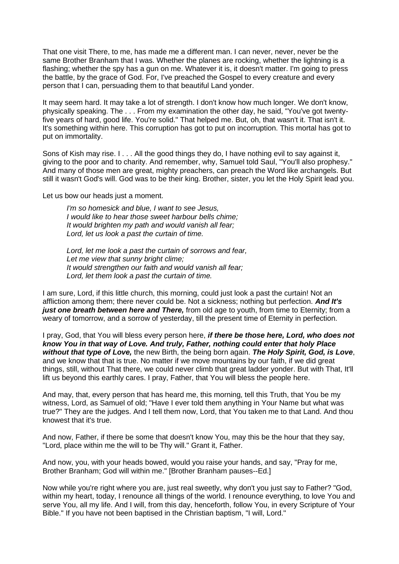That one visit There, to me, has made me a different man. I can never, never, never be the same Brother Branham that I was. Whether the planes are rocking, whether the lightning is a flashing; whether the spy has a gun on me. Whatever it is, it doesn't matter. I'm going to press the battle, by the grace of God. For, I've preached the Gospel to every creature and every person that I can, persuading them to that beautiful Land yonder.

It may seem hard. It may take a lot of strength. I don't know how much longer. We don't know, physically speaking. The . . . From my examination the other day, he said, "You've got twentyfive years of hard, good life. You're solid." That helped me. But, oh, that wasn't it. That isn't it. It's something within here. This corruption has got to put on incorruption. This mortal has got to put on immortality.

Sons of Kish may rise. I . . . All the good things they do, I have nothing evil to say against it, giving to the poor and to charity. And remember, why, Samuel told Saul, "You'll also prophesy." And many of those men are great, mighty preachers, can preach the Word like archangels. But still it wasn't God's will. God was to be their king. Brother, sister, you let the Holy Spirit lead you.

Let us bow our heads just a moment.

*I'm so homesick and blue, I want to see Jesus, I would like to hear those sweet harbour bells chime; It would brighten my path and would vanish all fear; Lord, let us look a past the curtain of time.*

*Lord, let me look a past the curtain of sorrows and fear, Let me view that sunny bright clime; It would strengthen our faith and would vanish all fear; Lord, let them look a past the curtain of time.*

I am sure, Lord, if this little church, this morning, could just look a past the curtain! Not an affliction among them; there never could be. Not a sickness; nothing but perfection. *And It's just one breath between here and There,* from old age to youth, from time to Eternity; from a weary of tomorrow, and a sorrow of yesterday, till the present time of Eternity in perfection.

I pray, God, that You will bless every person here, *if there be those here, Lord, who does not know You in that way of Love. And truly, Father, nothing could enter that holy Place without that type of Love,* the new Birth, the being born again. *The Holy Spirit, God, is Love*, and we know that that is true. No matter if we move mountains by our faith, if we did great things, still, without That there, we could never climb that great ladder yonder. But with That, It'll lift us beyond this earthly cares. I pray, Father, that You will bless the people here.

And may, that, every person that has heard me, this morning, tell this Truth, that You be my witness, Lord, as Samuel of old; "Have I ever told them anything in Your Name but what was true?" They are the judges. And I tell them now, Lord, that You taken me to that Land. And thou knowest that it's true.

And now, Father, if there be some that doesn't know You, may this be the hour that they say, "Lord, place within me the will to be Thy will." Grant it, Father.

And now, you, with your heads bowed, would you raise your hands, and say, "Pray for me, Brother Branham; God will within me." [Brother Branham pauses--Ed.]

Now while you're right where you are, just real sweetly, why don't you just say to Father? "God, within my heart, today, I renounce all things of the world. I renounce everything, to love You and serve You, all my life. And I will, from this day, henceforth, follow You, in every Scripture of Your Bible." If you have not been baptised in the Christian baptism, "I will, Lord."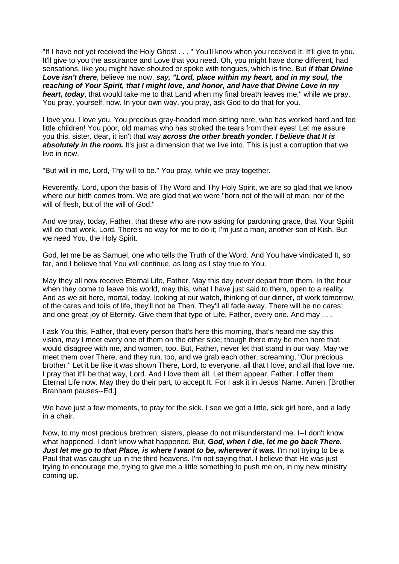"If I have not yet received the Holy Ghost . . . " You'll know when you received It. It'll give to you. It'll give to you the assurance and Love that you need. Oh, you might have done different, had sensations, like you might have shouted or spoke with tongues, which is fine. But *if that Divine Love isn't there*, believe me now, *say, "Lord, place within my heart, and in my soul, the reaching of Your Spirit, that I might love, and honor, and have that Divine Love in my heart, today*, that would take me to that Land when my final breath leaves me," while we pray. You pray, yourself, now. In your own way, you pray, ask God to do that for you.

I love you. I love you. You precious gray-headed men sitting here, who has worked hard and fed little children! You poor, old mamas who has stroked the tears from their eyes! Let me assure you this, sister, dear, it isn't that way *across the other breath yonder*. *I believe that It is*  **absolutely in the room.** It's just a dimension that we live into. This is just a corruption that we live in now.

"But will in me, Lord, Thy will to be." You pray, while we pray together.

Reverently, Lord, upon the basis of Thy Word and Thy Holy Spirit, we are so glad that we know where our birth comes from. We are glad that we were "born not of the will of man, nor of the will of flesh, but of the will of God."

And we pray, today, Father, that these who are now asking for pardoning grace, that Your Spirit will do that work, Lord. There's no way for me to do it; I'm just a man, another son of Kish. But we need You, the Holy Spirit.

God, let me be as Samuel, one who tells the Truth of the Word. And You have vindicated It, so far, and I believe that You will continue, as long as I stay true to You.

May they all now receive Eternal Life, Father. May this day never depart from them. In the hour when they come to leave this world, may this, what I have just said to them, open to a reality. And as we sit here, mortal, today, looking at our watch, thinking of our dinner, of work tomorrow, of the cares and toils of life, they'll not be Then. They'll all fade away. There will be no cares; and one great joy of Eternity. Give them that type of Life, Father, every one. And may ...

I ask You this, Father, that every person that's here this morning, that's heard me say this vision, may I meet every one of them on the other side; though there may be men here that would disagree with me, and women, too. But, Father, never let that stand in our way. May we meet them over There, and they run, too, and we grab each other, screaming, "Our precious brother." Let it be like it was shown There, Lord, to everyone, all that I love, and all that love me. I pray that it'll be that way, Lord. And I love them all. Let them appear, Father. I offer them Eternal Life now. May they do their part, to accept It. For I ask it in Jesus' Name. Amen. [Brother Branham pauses--Ed.]

We have just a few moments, to pray for the sick. I see we got a little, sick girl here, and a lady in a chair.

Now, to my most precious brethren, sisters, please do not misunderstand me. I--I don't know what happened. I don't know what happened. But, *God, when I die, let me go back There. Just let me go to that Place, is where I want to be, wherever it was.* **I'm not trying to be a** Paul that was caught up in the third heavens. I'm not saying that. I believe that He was just trying to encourage me, trying to give me a little something to push me on, in my new ministry coming up.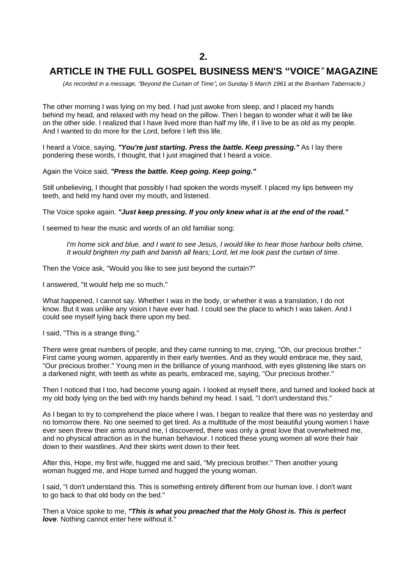### **ARTICLE IN THE FULL GOSPEL BUSINESS MEN'S "VOICE***"* **MAGAZINE**

 *(As recorded in a message, "Beyond the Curtain of Time", on Sunday 5 March 1961 at the Branham Tabernacle.)*

The other morning I was lying on my bed. I had just awoke from sleep, and I placed my hands behind my head, and relaxed with my head on the pillow. Then I began to wonder what it will be like on the other side. I realized that I have lived more than half my life, if I live to be as old as my people. And I wanted to do more for the Lord, before I left this life.

I heard a Voice, saying, *"You're just starting. Press the battle. Keep pressing."* As I lay there pondering these words, I thought, that I just imagined that I heard a voice.

Again the Voice said, *"Press the battle. Keep going. Keep going."*

Still unbelieving, I thought that possibly I had spoken the words myself. I placed my lips between my teeth, and held my hand over my mouth, and listened.

The Voice spoke again. *"Just keep pressing. If you only knew what is at the end of the road."*

I seemed to hear the music and words of an old familiar song:

*I'm home sick and blue, and I want to see Jesus, I would like to hear those harbour bells chime, It would brighten my path and banish all fears; Lord, let me look past the curtain of time.*

Then the Voice ask, "Would you like to see just beyond the curtain?"

I answered, "It would help me so much."

What happened, I cannot say. Whether I was in the body, or whether it was a translation, I do not know. But it was unlike any vision I have ever had. I could see the place to which I was taken. And I could see myself lying back there upon my bed.

I said, "This is a strange thing."

There were great numbers of people, and they came running to me, crying, "Oh, our precious brother." First came young women, apparently in their early twenties. And as they would embrace me, they said, "Our precious brother." Young men in the brilliance of young manhood, with eyes glistening like stars on a darkened night, with teeth as white as pearls, embraced me, saying, "Our precious brother."

Then I noticed that I too, had become young again. I looked at myself there, and turned and looked back at my old body lying on the bed with my hands behind my head. I said, "I don't understand this."

As I began to try to comprehend the place where I was, I began to realize that there was no yesterday and no tomorrow there. No one seemed to get tired. As a multitude of the most beautiful young women I have ever seen threw their arms around me, I discovered, there was only a great love that overwhelmed me, and no physical attraction as in the human behaviour. I noticed these young women all wore their hair down to their waistlines. And their skirts went down to their feet.

After this, Hope, my first wife, hugged me and said, "My precious brother." Then another young woman hugged me, and Hope turned and hugged the young woman.

I said, "I don't understand this. This is something entirely different from our human love. I don't want to go back to that old body on the bed."

Then a Voice spoke to me, *"This is what you preached that the Holy Ghost is. This is perfect love*. Nothing cannot enter here without it."